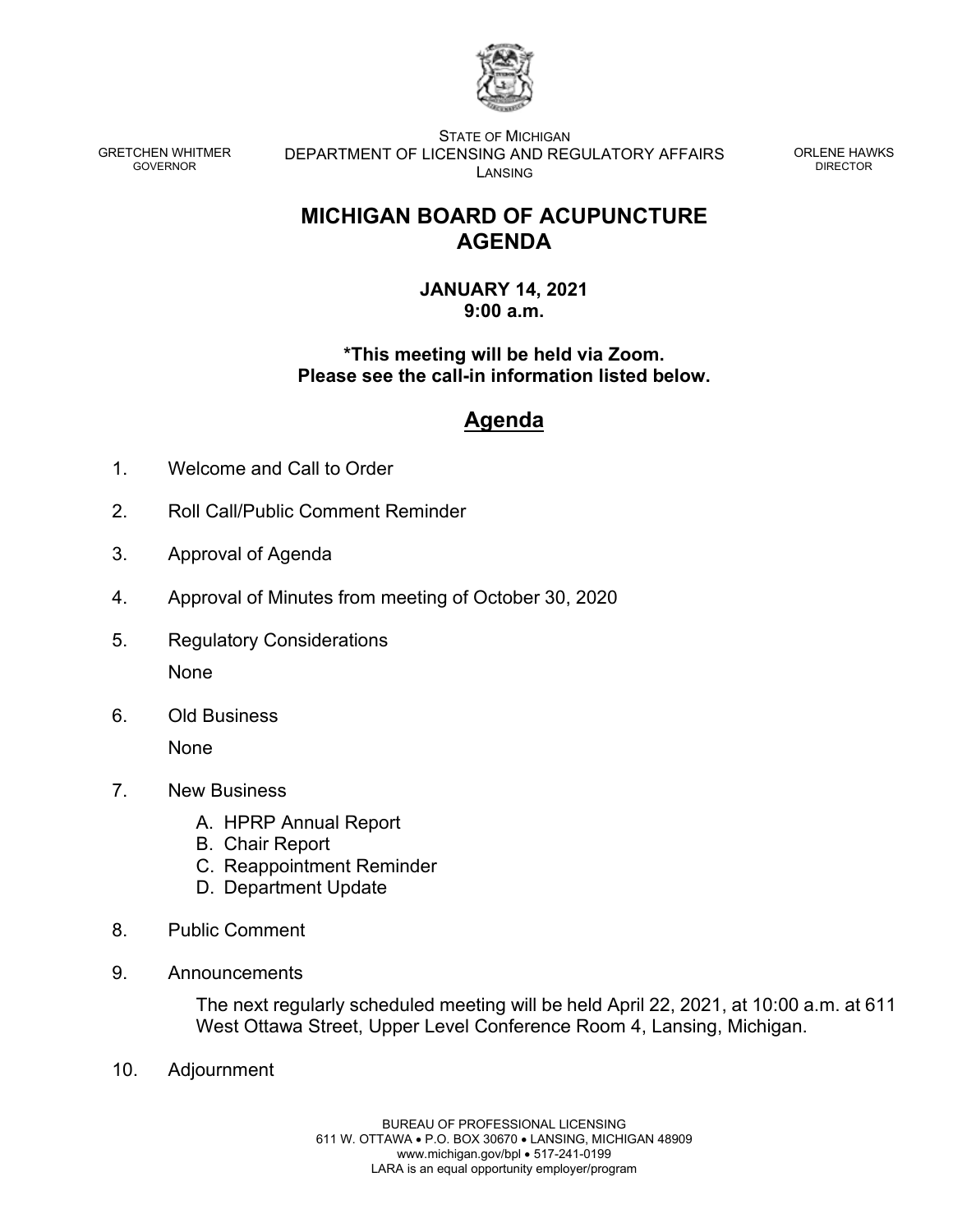

GRETCHEN WHITMER GOVERNOR

STATE OF MICHIGAN DEPARTMENT OF LICENSING AND REGULATORY AFFAIRS LANSING

ORLENE HAWKS DIRECTOR

## **MICHIGAN BOARD OF ACUPUNCTURE AGENDA**

**JANUARY 14, 2021 9:00 a.m.**

**\*This meeting will be held via Zoom. Please see the call-in information listed below.** 

## **Agenda**

- 1. Welcome and Call to Order
- 2. Roll Call/Public Comment Reminder
- 3. Approval of Agenda
- 4. Approval of Minutes from meeting of October 30, 2020
- 5. Regulatory Considerations None
- 6. Old Business

None

- 7. New Business
	- A. HPRP Annual Report
	- B. Chair Report
	- C. Reappointment Reminder
	- D. Department Update
- 8. Public Comment
- 9. Announcements

The next regularly scheduled meeting will be held April 22, 2021, at 10:00 a.m. at 611 West Ottawa Street, Upper Level Conference Room 4, Lansing, Michigan.

10. Adjournment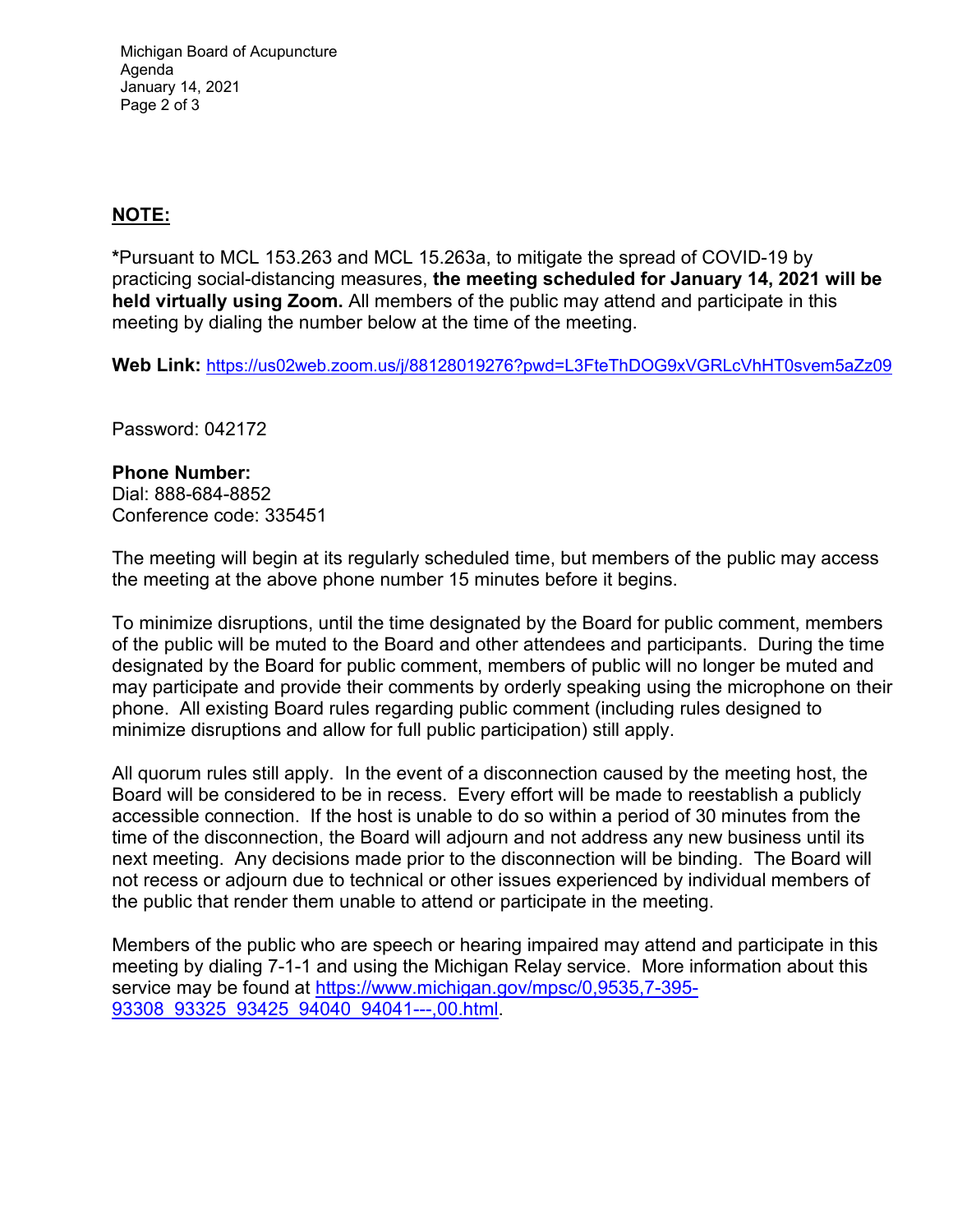Michigan Board of Acupuncture Agenda January 14, 2021 Page 2 of 3

## **NOTE:**

**\***Pursuant to MCL 153.263 and MCL 15.263a, to mitigate the spread of COVID-19 by practicing social-distancing measures, **the meeting scheduled for January 14, 2021 will be held virtually using Zoom.** All members of the public may attend and participate in this meeting by dialing the number below at the time of the meeting.

**Web Link:** [https://us02web.zoom.us/j/88128019276?pwd=L3FteThDOG9xVGRLcVhHT0svem5aZz09](https://gcc01.safelinks.protection.outlook.com/?url=https%3A%2F%2Fus02web.zoom.us%2Fj%2F88128019276%3Fpwd%3DL3FteThDOG9xVGRLcVhHT0svem5aZz09&data=04%7C01%7CBPL-BoardSupport%40michigan.gov%7C47367f7704484779e19f08d89dfff479%7Cd5fb7087377742ad966a892ef47225d1%7C0%7C0%7C637433069923833712%7CUnknown%7CTWFpbGZsb3d8eyJWIjoiMC4wLjAwMDAiLCJQIjoiV2luMzIiLCJBTiI6Ik1haWwiLCJXVCI6Mn0%3D%7C1000&sdata=99WqMFI48bOh1GFqJ5n77BGiL2qIrNVVMbDrmmd8Zv0%3D&reserved=0)

Password: 042172

## **Phone Number:**

Dial: 888-684-8852 Conference code: 335451

The meeting will begin at its regularly scheduled time, but members of the public may access the meeting at the above phone number 15 minutes before it begins.

To minimize disruptions, until the time designated by the Board for public comment, members of the public will be muted to the Board and other attendees and participants. During the time designated by the Board for public comment, members of public will no longer be muted and may participate and provide their comments by orderly speaking using the microphone on their phone. All existing Board rules regarding public comment (including rules designed to minimize disruptions and allow for full public participation) still apply.

All quorum rules still apply. In the event of a disconnection caused by the meeting host, the Board will be considered to be in recess. Every effort will be made to reestablish a publicly accessible connection. If the host is unable to do so within a period of 30 minutes from the time of the disconnection, the Board will adjourn and not address any new business until its next meeting. Any decisions made prior to the disconnection will be binding. The Board will not recess or adjourn due to technical or other issues experienced by individual members of the public that render them unable to attend or participate in the meeting.

Members of the public who are speech or hearing impaired may attend and participate in this meeting by dialing 7-1-1 and using the Michigan Relay service. More information about this service may be found at [https://www.michigan.gov/mpsc/0,9535,7-395-](https://www.michigan.gov/mpsc/0,9535,7-395-93308_93325_93425_94040_94041---,00.html) [93308\\_93325\\_93425\\_94040\\_94041---,00.html.](https://www.michigan.gov/mpsc/0,9535,7-395-93308_93325_93425_94040_94041---,00.html)